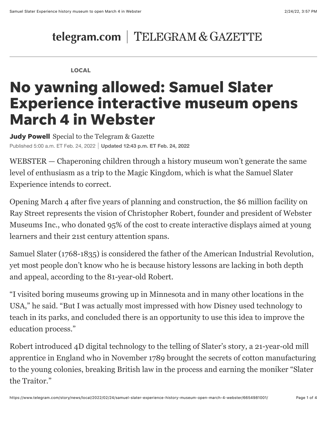## telegram.com | TELEGRAM & GAZETTE

#### LOCAL

# No yawning allowed: Samuel Slater Experience interactive museum opens March 4 in Webster

**Judy Powell** Special to the Telegram & Gazette Published 5:00 a.m. ET Feb. 24, 2022 **Updated 12:43 p.m. ET Feb. 24, 2022**

WEBSTER — Chaperoning children through a history museum won't generate the same level of enthusiasm as a trip to the Magic Kingdom, which is what the Samuel Slater Experience intends to correct.

Opening March 4 after five years of planning and construction, the \$6 million facility on Ray Street represents the vision of Christopher Robert, founder and president of Webster Museums Inc., who donated 95% of the cost to create interactive displays aimed at young learners and their 21st century attention spans.

Samuel Slater (1768-1835) is considered the father of the American Industrial Revolution, yet most people don't know who he is because history lessons are lacking in both depth and appeal, according to the 81-year-old Robert.

"I visited boring museums growing up in Minnesota and in many other locations in the USA," he said. "But I was actually most impressed with how Disney used technology to teach in its parks, and concluded there is an opportunity to use this idea to improve the education process."

Robert introduced 4D digital technology to the telling of Slater's story, a 21-year-old mill apprentice in England who in November 1789 brought the secrets of cotton manufacturing to the young colonies, breaking British law in the process and earning the moniker "Slater the Traitor."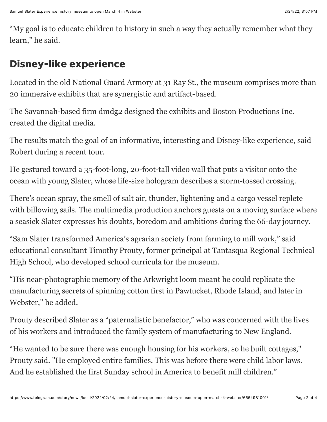"My goal is to educate children to history in such a way they actually remember what they learn," he said.

### Disney-like experience

Located in the old National Guard Armory at 31 Ray St., the museum comprises more than 20 immersive exhibits that are synergistic and artifact-based.

The Savannah-based firm [dmdg2](https://www.dmdg2.com/) designed the exhibits and Boston Productions Inc. created the digital media.

The results match the goal of an informative, interesting and Disney-like experience, said Robert during a recent tour.

He gestured toward a 35-foot-long, 20-foot-tall video wall that puts a visitor onto the ocean with young Slater, whose life-size hologram describes a storm-tossed crossing.

There's ocean spray, the smell of salt air, thunder, lightening and a cargo vessel replete with billowing sails. The multimedia production anchors guests on a moving surface where a seasick Slater expresses his doubts, boredom and ambitions during the 66-day journey.

"Sam Slater transformed America's agrarian society from farming to mill work," said educational consultant Timothy Prouty, former principal at Tantasqua Regional Technical High School, who developed school curricula for the museum.

"His near-photographic memory of the Arkwright loom meant he could replicate the manufacturing secrets of spinning cotton first in Pawtucket, Rhode Island, and later in Webster," he added.

Prouty described Slater as a "paternalistic benefactor," who was concerned with the lives of his workers and introduced the family system of manufacturing to New England.

"He wanted to be sure there was enough housing for his workers, so he built cottages," Prouty said. "He employed entire families. This was before there were child labor laws. And he established the first Sunday school in America to benefit mill children."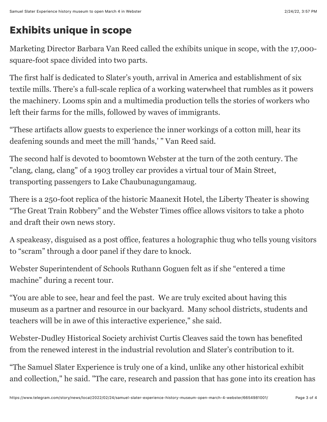## Exhibits unique in scope

Marketing Director Barbara Van Reed called the exhibits unique in scope, with the 17,000 square-foot space divided into two parts.

The first half is dedicated to Slater's youth, arrival in America and establishment of six textile mills. There's a full-scale replica of a working waterwheel that rumbles as it powers the machinery. Looms spin and a multimedia production tells the stories of workers who left their farms for the mills, followed by waves of immigrants.

"These artifacts allow guests to experience the inner workings of a cotton mill, hear its deafening sounds and meet the mill 'hands,' " Van Reed said.

The second half is devoted to boomtown Webster at the turn of the 20th century. The "clang, clang, clang" of a 1903 trolley car provides a virtual tour of Main Street, transporting passengers to Lake Chaubunagungamaug.

There is a 250-foot replica of the historic Maanexit Hotel, the Liberty Theater is showing "The Great Train Robbery" and the Webster Times office allows visitors to take a photo and draft their own news story.

A speakeasy, disguised as a post office, features a holographic thug who tells young visitors to "scram" through a door panel if they dare to knock.

Webster Superintendent of Schools Ruthann Goguen felt as if she "entered a time machine" during a recent tour.

"You are able to see, hear and feel the past. We are truly excited about having this museum as a partner and resource in our backyard. Many school districts, students and teachers will be in awe of this interactive experience," she said.

Webster-Dudley Historical Society archivist Curtis Cleaves said the town has benefited from the renewed interest in the industrial revolution and Slater's contribution to it.

"The Samuel Slater Experience is truly one of a kind, unlike any other historical exhibit and collection," he said. "The care, research and passion that has gone into its creation has